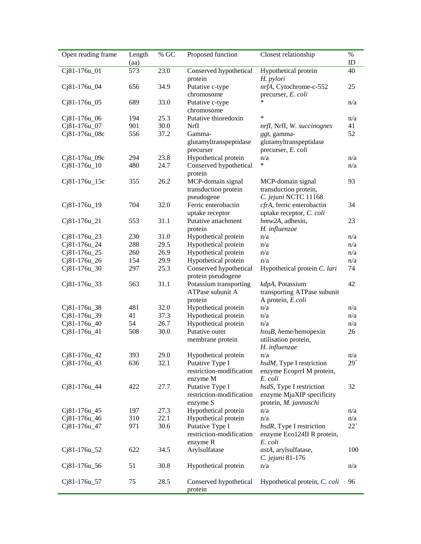| Open reading frame | Length<br>(aa) | $\%$ GC | Proposed function                                       | Closest relationship                                                | $\%$<br>ID   |
|--------------------|----------------|---------|---------------------------------------------------------|---------------------------------------------------------------------|--------------|
| Cj81-176u_01       | 573            | 23.0    | Conserved hypothetical<br>protein                       | Hypothetical protein<br>H. pylori                                   | 40           |
| Cj81-176u_04       | 656            | 34.9    | Putative c-type<br>chromosome                           | nrfA, Cytochrome-c-552<br>precurser, E. coli                        | 25           |
| Cj81-176u_05       | 689            | 33.0    | Putative c-type<br>chromosome                           | *                                                                   | n/a          |
| Cj81-176u_06       | 194            | 25.3    | Putative thioredoxin                                    | $\ast$                                                              | n/a          |
| Cj81-176u_07       | 901            | 30.0    | NrfI                                                    | nrfI, NrfI, W. succinognes                                          | 41           |
| Cj81-176u_08c      | 556            | 37.2    | Gamma-<br>glutamyltranspeptidase                        | ggt, gamma-<br>glutamyltranspeptidase                               | 52           |
|                    |                |         | precurser                                               | precurser, E. coli                                                  |              |
| Cj81-176u_09c      | 294            | 23.8    | Hypothetical protein                                    | n/a                                                                 | n/a          |
| Cj81-176u_10       | 480            | 24.7    | Conserved hypothetical<br>protein                       | *                                                                   | n/a          |
| Cj81-176u_15c      | 355            | 26.2    | MCP-domain signal                                       | MCP-domain signal                                                   | 93           |
|                    |                |         | transduction protein<br>pseudogene                      | transduction protein,<br>C. jejuni NCTC 11168                       |              |
| Cj81-176u_19       | 704            | 32.0    | Ferric enterobactin<br>uptake receptor                  | cfrA, ferric enterobactin<br>uptake receptor, C. coli               | 34           |
| $Cj81-176u_21$     | 553            | 31.1    | Putative attachment<br>protein                          | hmw2A, adhesin,<br>H. influenzae                                    | 23           |
| $Cj81-176u_23$     | 230            | 31.0    | Hypothetical protein                                    | n/a                                                                 | n/a          |
| Cj81-176u_24       | 288            | 29.5    | Hypothetical protein                                    | n/a                                                                 | n/a          |
| Cj81-176u_25       | 260            | 26.9    | Hypothetical protein                                    | n/a                                                                 | n/a          |
| Cj81-176u_26       | 154            | 29.9    | Hypothetical protein                                    | n/a                                                                 | n/a          |
| $Cj81-176u_30$     | 297            | 25.3    | Conserved hypothetical                                  | Hypothetical protein C. lari                                        | 74           |
|                    |                |         | protein pseudogene                                      |                                                                     |              |
| Cj81-176u_33       | 563            | 31.1    | Potassium transporting<br>ATPase subunit A<br>protein   | kdpA, Potassium<br>transporting ATPase subunit<br>A protein, E.coli | 42           |
| Cj81-176u_38       | 481            | 32.0    | Hypothetical protein                                    | n/a                                                                 | n/a          |
| Cj81-176u_39       | 41             | 37.3    | Hypothetical protein                                    | n/a                                                                 | n/a          |
| Cj81-176u_40       | 54             | 26.7    | Hypothetical protein                                    | n/a                                                                 | n/a          |
| Cj81-176u_41       | 508            | 30.0    | Putative outer                                          | $hxuB$ , heme/hemopexin                                             | 26           |
|                    |                |         | membrane protein                                        | utilisation protein,<br>H. influenzae                               |              |
| Cj81-176u_42       | 393            | 29.0    | Hypothetical protein                                    | n/a                                                                 | n/a          |
| Cj81-176u_43       | 636            | 32.1    | Putative Type I<br>restriction-modification             | hsdM, Type I restriction<br>enzyme EcoprrI M protein,               | $29^{\circ}$ |
| Cj81-176u_44       | 422            | 27.7    | enzyme M<br>Putative Type I                             | E. coli<br>hsdS, Type I restriction                                 | 32           |
|                    |                |         | restriction-modification<br>enzyme S                    | enzyme MjaXIP specificity<br>protein, M. jannaschi                  |              |
| Cj81-176u_45       | 197            | 27.3    | Hypothetical protein                                    | n/a                                                                 | n/a          |
| Cj81-176u_46       | 310            | 22.1    | Hypothetical protein                                    | n/a                                                                 | n/a          |
| Cj81-176u_47       | 971            | 30.6    | Putative Type I<br>restriction-modification<br>enzyme R | hsdR, Type I restriction<br>enzyme Eco124II R protein,<br>E. coli   | $22^{+}$     |
| Cj81-176u_52       | 622            | 34.5    | Arylsulfatase                                           | astA, arylsulfatase,<br>C. jejuni 81-176                            | 100          |
| Cj81-176u_56       | 51             | 30.8    | Hypothetical protein                                    | n/a                                                                 | n/a          |
| Cj81-176u_57       | 75             | 28.5    | Conserved hypothetical<br>protein                       | Hypothetical protein, C. coli                                       | 96           |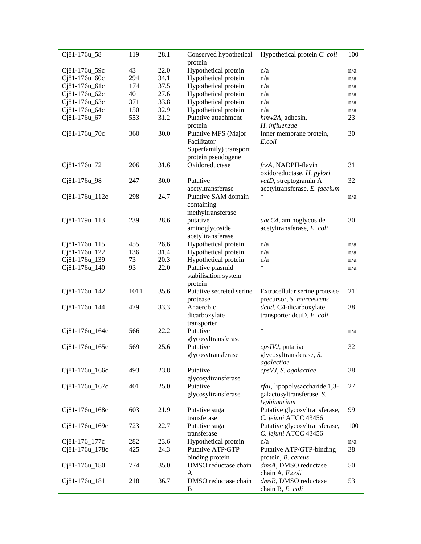| Cj81-176u_58    | 119  | 28.1 | Conserved hypothetical   | Hypothetical protein C. coli  | 100      |
|-----------------|------|------|--------------------------|-------------------------------|----------|
|                 |      |      | protein                  |                               |          |
| Cj81-176u_59c   | 43   | 22.0 | Hypothetical protein     | n/a                           | n/a      |
| Cj81-176u_60c   | 294  | 34.1 | Hypothetical protein     | n/a                           | n/a      |
| Cj81-176u_61c   | 174  | 37.5 | Hypothetical protein     | n/a                           | n/a      |
| Cj81-176u_62c   | 40   | 27.6 | Hypothetical protein     | n/a                           | n/a      |
| Cj81-176u_63c   | 371  | 33.8 | Hypothetical protein     | n/a                           | n/a      |
| Cj81-176u_64c   | 150  | 32.9 | Hypothetical protein     | n/a                           | n/a      |
| Cj81-176u_67    | 553  | 31.2 | Putative attachment      | hmw2A, adhesin,               | 23       |
|                 |      |      | protein                  | H. influenzae                 |          |
| Cj81-176u_70c   | 360  | 30.0 | Putative MFS (Major      | Inner membrane protein,       | 30       |
|                 |      |      | Facilitator              | E.coli                        |          |
|                 |      |      | Superfamily) transport   |                               |          |
|                 |      |      | protein pseudogene       |                               |          |
| Cj81-176u_72    | 206  | 31.6 | Oxidoreductase           | frxA, NADPH-flavin            | 31       |
|                 |      |      |                          | oxidoreductase, H. pylori     |          |
| Cj81-176u_98    | 247  | 30.0 | Putative                 | vatD, streptogramin A         | 32       |
|                 |      |      | acetyltransferase        | acetyltransferase, E. faecium |          |
| Cj81-176u_112c  | 298  | 24.7 | Putative SAM domain      | *                             | n/a      |
|                 |      |      | containing               |                               |          |
|                 |      |      | methyltransferase        |                               |          |
| Cj81-179u_113   | 239  | 28.6 | putative                 | aacC4, aminoglycoside         | 30       |
|                 |      |      | aminoglycoside           | acetyltransferase, E. coli    |          |
|                 |      |      | acetyltransferase        |                               |          |
| Cj81-176u_115   | 455  | 26.6 | Hypothetical protein     | n/a                           | n/a      |
| Cj81-176u_122   | 136  | 31.4 | Hypothetical protein     | n/a                           | n/a      |
| Cj81-176u_139   | 73   | 20.3 | Hypothetical protein     | n/a                           | n/a      |
| Cj81-176u_140   | 93   | 22.0 |                          | *                             | n/a      |
|                 |      |      | Putative plasmid         |                               |          |
|                 |      |      | stabilisation system     |                               |          |
|                 |      |      | protein                  |                               |          |
| Cj81-176u_142   | 1011 | 35.6 | Putative secreted serine | Extracellular serine protease | $21^{+}$ |
|                 |      |      | protease                 | precursor, S. marcescens      |          |
| $Cj81-176u_144$ | 479  | 33.3 | Anaerobic                | dcud, C4-dicarboxylate        | 38       |
|                 |      |      | dicarboxylate            | transporter dcuD, E. coli     |          |
|                 |      |      | transporter              |                               |          |
| Cj81-176u_164c  | 566  | 22.2 | Putative                 | *                             | n/a      |
|                 |      |      | glycosyltransferase      |                               |          |
| Cj81-176u_165c  | 569  | 25.6 | Putative                 | cpsIVJ, putative              | 32       |
|                 |      |      | glycosytransferase       | glycosyltransferase, S.       |          |
|                 |      |      |                          | agalactiae                    |          |
| Cj81-176u_166c  | 493  | 23.8 | Putative                 | cpsVJ, S. agalactiae          | 38       |
|                 |      |      | glycosyltransferase      |                               |          |
| Cj81-176u_167c  | 401  | 25.0 | Putative                 | rfal, lipopolysaccharide 1,3- | 27       |
|                 |      |      | glycosyltransferase      | galactosyltransferase, S.     |          |
|                 |      |      |                          | typhimurium                   |          |
| Cj81-176u_168c  | 603  | 21.9 | Putative sugar           | Putative glycosyltransferase, | 99       |
|                 |      |      | transferase              | C. jejuni ATCC 43456          |          |
| Cj81-176u_169c  | 723  | 22.7 | Putative sugar           | Putative glycosyltransferase, | 100      |
|                 |      |      | transferase              | C. jejuni ATCC 43456          |          |
| Cj81-176_177c   | 282  | 23.6 | Hypothetical protein     | n/a                           | n/a      |
| Cj81-176u_178c  | 425  | 24.3 | Putative ATP/GTP         | Putative ATP/GTP-binding      | 38       |
|                 |      |      | binding protein          | protein, B. cereus            |          |
| $Cj81-176u_180$ | 774  | 35.0 | DMSO reductase chain     | dmsA, DMSO reductase          | 50       |
|                 |      |      | A                        | chain A, E.coli               |          |
| Cj81-176u_181   | 218  | 36.7 | DMSO reductase chain     | dmsB, DMSO reductase          | 53       |
|                 |      |      | B                        | chain B, E. coli              |          |
|                 |      |      |                          |                               |          |